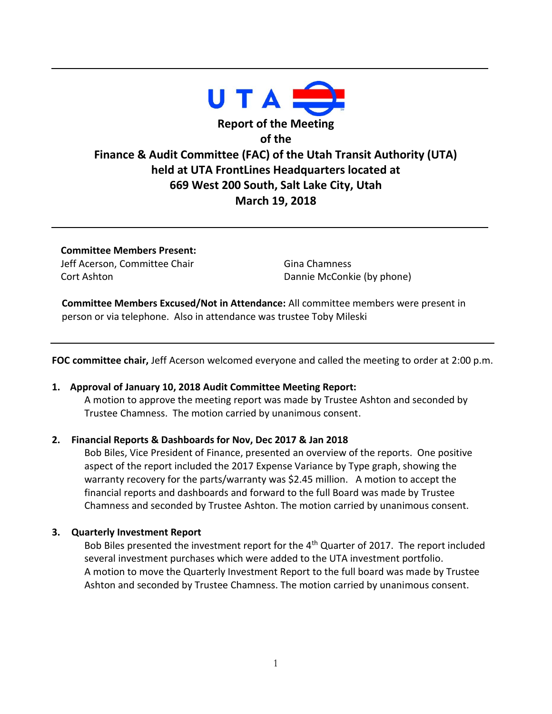

**Committee Members Present:** Jeff Acerson, Committee Chair Cort Ashton

Gina Chamness Dannie McConkie (by phone)

 **Committee Members Excused/Not in Attendance:** All committee members were present in person or via telephone. Also in attendance was trustee Toby Mileski

**FOC committee chair,** Jeff Acerson welcomed everyone and called the meeting to order at 2:00 p.m.

### **1. Approval of January 10, 2018 Audit Committee Meeting Report:**

A motion to approve the meeting report was made by Trustee Ashton and seconded by Trustee Chamness. The motion carried by unanimous consent.

### **2. Financial Reports & Dashboards for Nov, Dec 2017 & Jan 2018**

Bob Biles, Vice President of Finance, presented an overview of the reports. One positive aspect of the report included the 2017 Expense Variance by Type graph, showing the warranty recovery for the parts/warranty was \$2.45 million. A motion to accept the financial reports and dashboards and forward to the full Board was made by Trustee Chamness and seconded by Trustee Ashton. The motion carried by unanimous consent.

### **3. Quarterly Investment Report**

Bob Biles presented the investment report for the  $4<sup>th</sup>$  Quarter of 2017. The report included several investment purchases which were added to the UTA investment portfolio. A motion to move the Quarterly Investment Report to the full board was made by Trustee Ashton and seconded by Trustee Chamness. The motion carried by unanimous consent.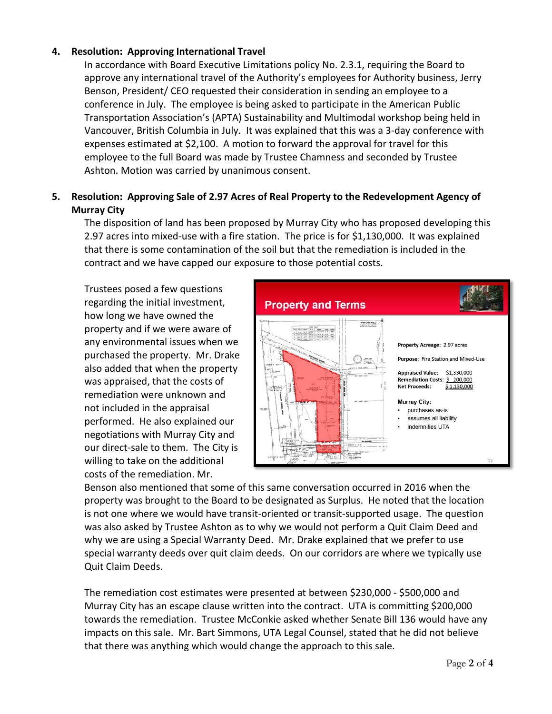## **4. Resolution: Approving International Travel**

In accordance with Board Executive Limitations policy No. 2.3.1, requiring the Board to approve any international travel of the Authority's employees for Authority business, Jerry Benson, President/ CEO requested their consideration in sending an employee to a conference in July. The employee is being asked to participate in the American Public Transportation Association's (APTA) Sustainability and Multimodal workshop being held in Vancouver, British Columbia in July. It was explained that this was a 3-day conference with expenses estimated at \$2,100. A motion to forward the approval for travel for this employee to the full Board was made by Trustee Chamness and seconded by Trustee Ashton. Motion was carried by unanimous consent.

# **5. Resolution: Approving Sale of 2.97 Acres of Real Property to the Redevelopment Agency of Murray City**

The disposition of land has been proposed by Murray City who has proposed developing this 2.97 acres into mixed-use with a fire station. The price is for \$1,130,000. It was explained that there is some contamination of the soil but that the remediation is included in the contract and we have capped our exposure to those potential costs.

Trustees posed a few questions regarding the initial investment, how long we have owned the property and if we were aware of any environmental issues when we purchased the property. Mr. Drake also added that when the property was appraised, that the costs of remediation were unknown and not included in the appraisal performed. He also explained our negotiations with Murray City and our direct-sale to them. The City is willing to take on the additional costs of the remediation. Mr.



Benson also mentioned that some of this same conversation occurred in 2016 when the property was brought to the Board to be designated as Surplus. He noted that the location is not one where we would have transit-oriented or transit-supported usage. The question was also asked by Trustee Ashton as to why we would not perform a Quit Claim Deed and why we are using a Special Warranty Deed. Mr. Drake explained that we prefer to use special warranty deeds over quit claim deeds. On our corridors are where we typically use Quit Claim Deeds.

The remediation cost estimates were presented at between \$230,000 - \$500,000 and Murray City has an escape clause written into the contract. UTA is committing \$200,000 towards the remediation. Trustee McConkie asked whether Senate Bill 136 would have any impacts on this sale. Mr. Bart Simmons, UTA Legal Counsel, stated that he did not believe that there was anything which would change the approach to this sale.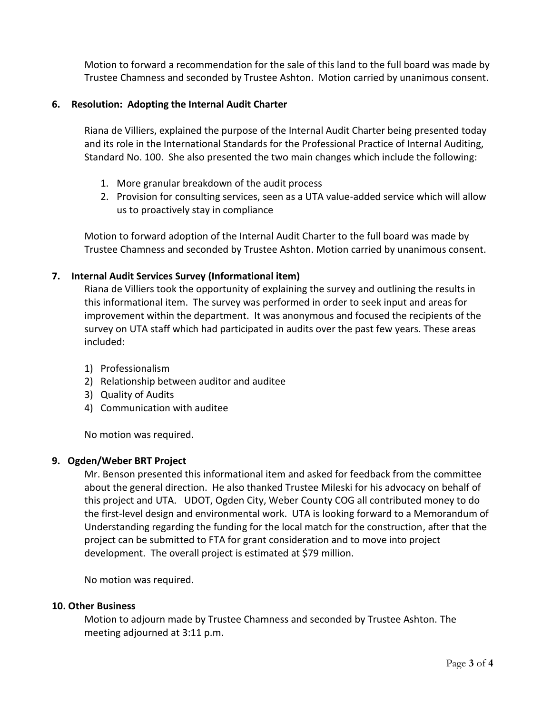Motion to forward a recommendation for the sale of this land to the full board was made by Trustee Chamness and seconded by Trustee Ashton. Motion carried by unanimous consent.

## **6. Resolution: Adopting the Internal Audit Charter**

Riana de Villiers, explained the purpose of the Internal Audit Charter being presented today and its role in the International Standards for the Professional Practice of Internal Auditing, Standard No. 100. She also presented the two main changes which include the following:

- 1. More granular breakdown of the audit process
- 2. Provision for consulting services, seen as a UTA value-added service which will allow us to proactively stay in compliance

Motion to forward adoption of the Internal Audit Charter to the full board was made by Trustee Chamness and seconded by Trustee Ashton. Motion carried by unanimous consent.

## **7. Internal Audit Services Survey (Informational item)**

Riana de Villiers took the opportunity of explaining the survey and outlining the results in this informational item. The survey was performed in order to seek input and areas for improvement within the department. It was anonymous and focused the recipients of the survey on UTA staff which had participated in audits over the past few years. These areas included:

- 1) Professionalism
- 2) Relationship between auditor and auditee
- 3) Quality of Audits
- 4) Communication with auditee

No motion was required.

## **9. Ogden/Weber BRT Project**

Mr. Benson presented this informational item and asked for feedback from the committee about the general direction. He also thanked Trustee Mileski for his advocacy on behalf of this project and UTA. UDOT, Ogden City, Weber County COG all contributed money to do the first-level design and environmental work. UTA is looking forward to a Memorandum of Understanding regarding the funding for the local match for the construction, after that the project can be submitted to FTA for grant consideration and to move into project development. The overall project is estimated at \$79 million.

No motion was required.

## **10. Other Business**

Motion to adjourn made by Trustee Chamness and seconded by Trustee Ashton. The meeting adjourned at 3:11 p.m.